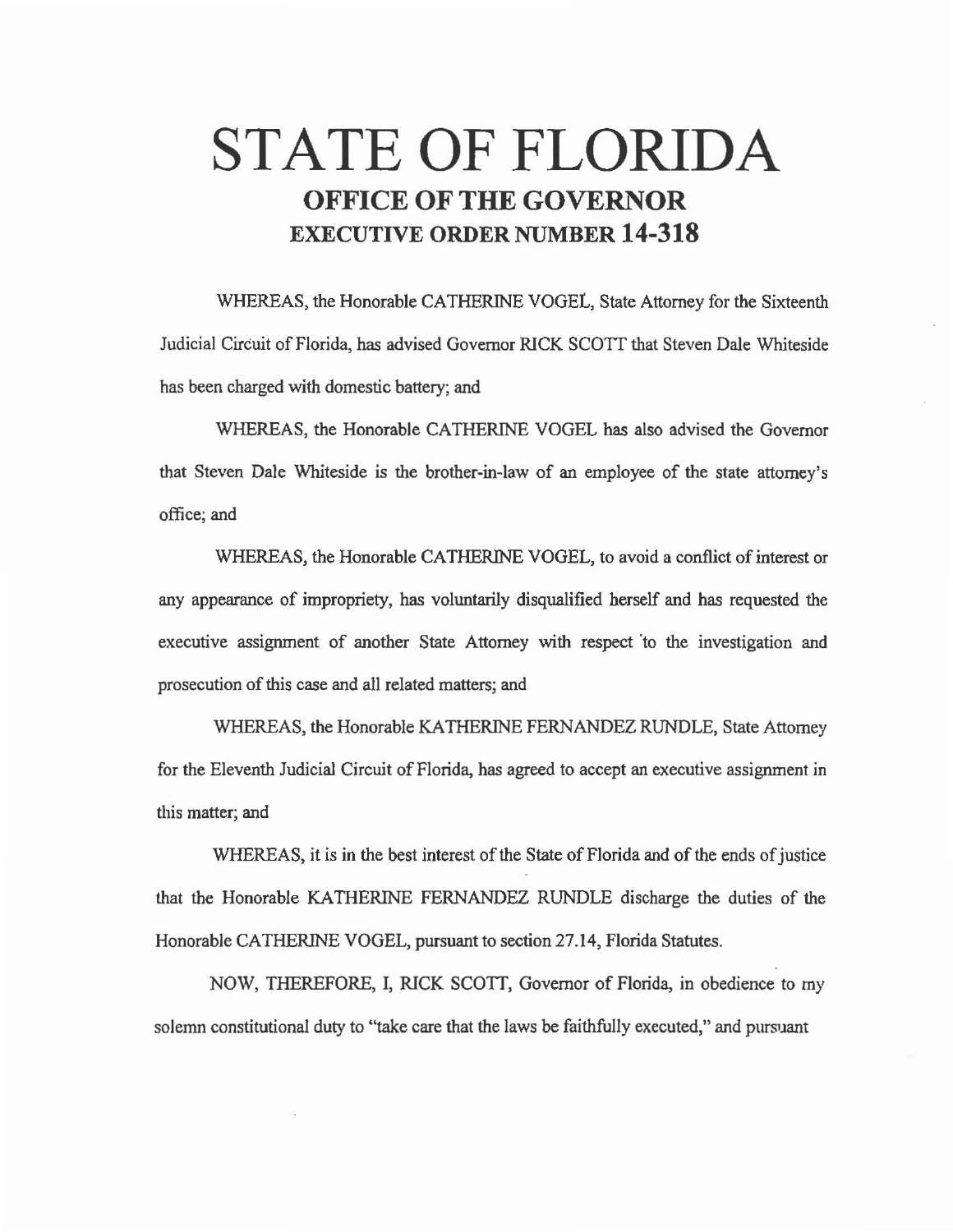# **STATE OF FLORIDA OFFICE OF THE GOVERNOR EXECUTIVE ORDER NUMBER 14-318**

WHEREAS, the Honorable CATHERINE VOGEL, State Attorney for the Sixteenth Judicial Circuit of Florida, has advised Governor RICK *SCOTT* that Steven Dale Whiteside has been charged with domestic battery; and

WHEREAS, the Honorable CATHERINE VOGEL has also advised the Governor that Steven Dale Whiteside is the brother-in-law of an employee of the state attorney's office; and

WHEREAS, the Honorable CATHERINE VOGEL, to avoid a conflict of interest or any appearance of impropriety, has voluntarily disqualified herself and has requested the executive assignment of another State Attorney with respect 'to the investigation and prosecution of this case and all related matters; and

WHEREAS, the Honorable KA THERINE FERNANDEZ RUNDLE, State Attorney for the Eleventh Judicial Circuit of Florida, has agreed to accept an executive assignment in this matter; and

WHEREAS, it is in the best interest of the State of Florida and of the ends of justice that the Honorable KA THERINE FERNANDEZ RUNDLE discharge the duties of the Honorable CATHERINE VOGEL, pursuant to section 27.14, Florida Statutes.

NOW, THEREFORE, I, RICK SCOTT, Governor of Florida, in obedience to my solemn constitutional duty to "take care that the laws be faithfully executed," and pursuant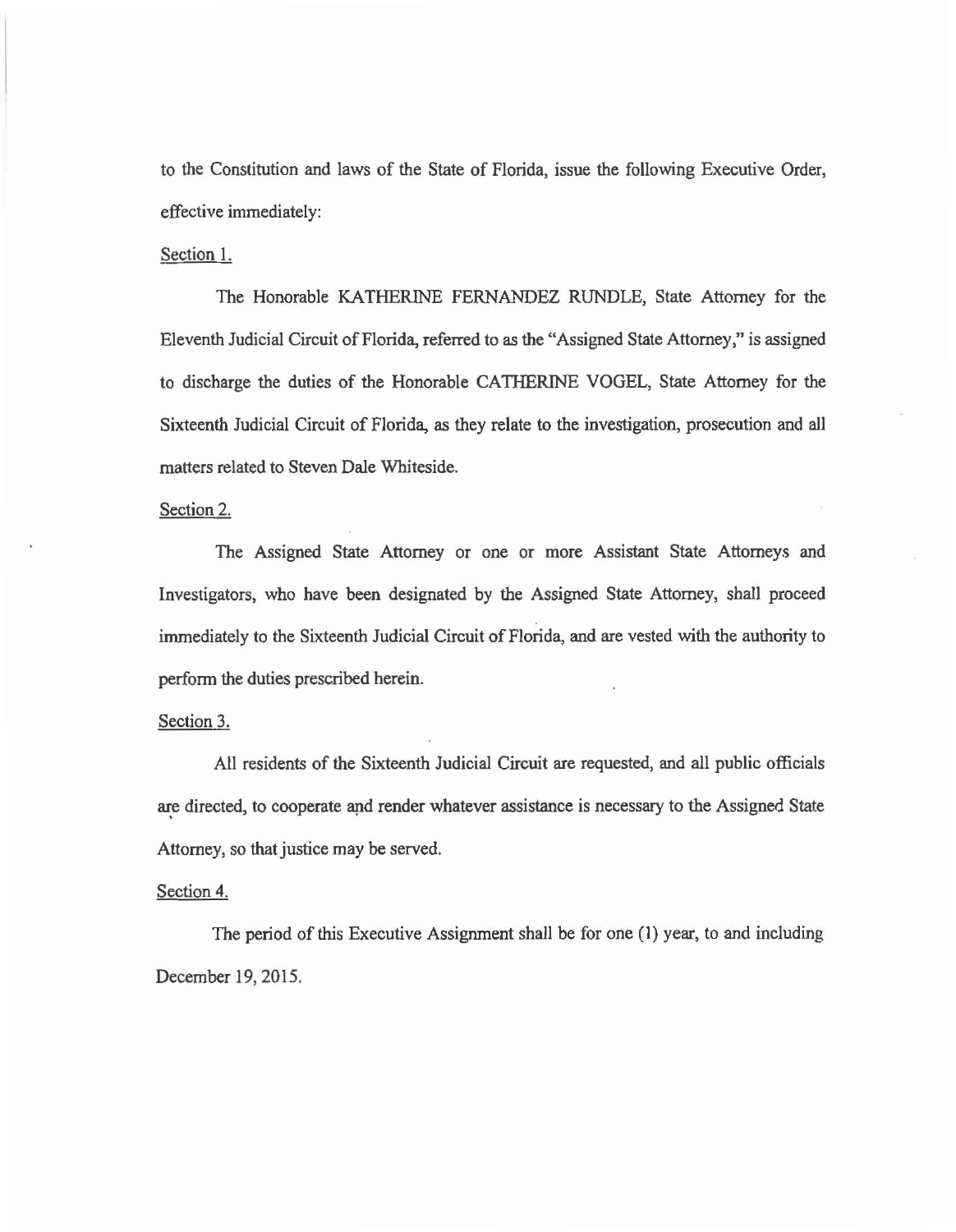to the Constitution and laws of the State of Florida, issue the following Executive Order, effective immediately:

## Section 1.

The Honorable KATHERINE FERNANDEZ RUNDLE, State Attorney for the Eleventh Judicial Circuit of Florida, referred to as the "Assigned State Attorney," is assigned to discharge the duties of the Honorable CA THERINE VOGEL, State Attorney for the Sixteenth Judicial Circuit of Florida, as they relate to the investigation, prosecution and all matters related to Steven Dale Whiteside.

#### Section 2.

The Assigned State Attorney or one or more Assistant State Attorneys and Investigators, who have been designated by the Assigned State Attorney, shall proceed immediately to the Sixteenth Judicial Circuit of Florida, and are vested with the authority to perform the duties prescribed herein.

## Section 3.

All residents of the Sixteenth Judicial Circuit are requested, and all public officials are directed, to cooperate and render whatever assistance is necessary to the Assigned State Attorney, so that justice may be served.

## Section 4.

The period of this Executive Assignment shall be for one (1) year, to and including December 19, 2015.